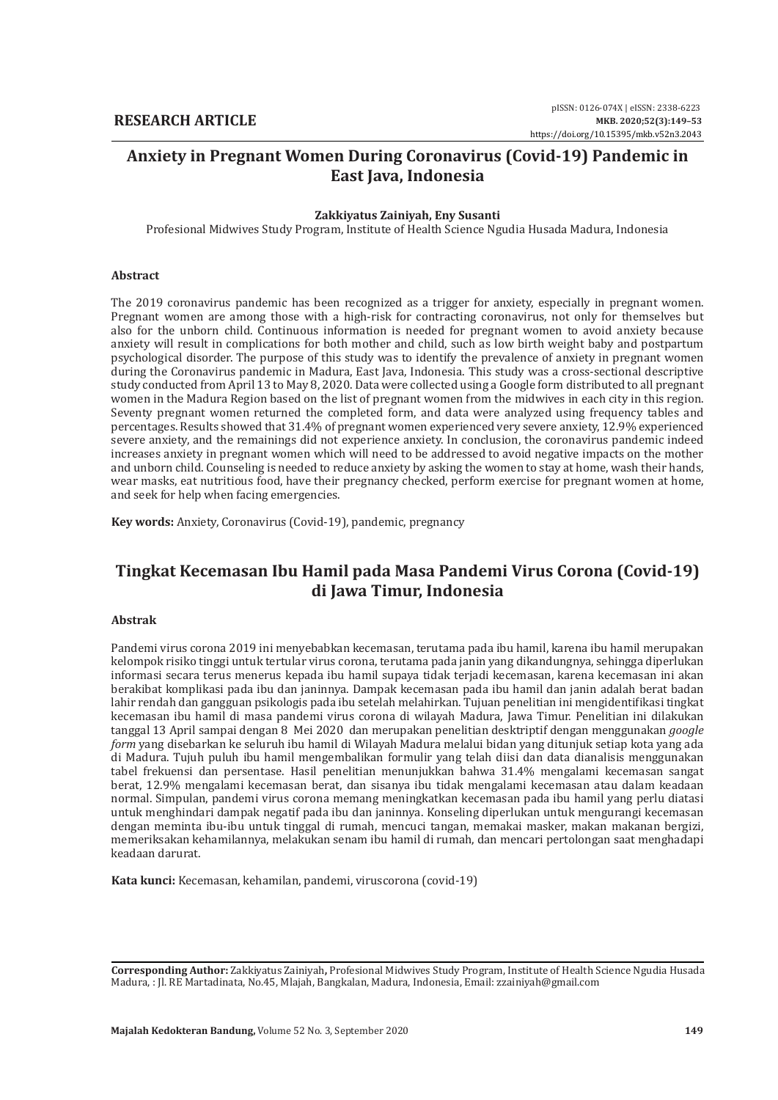# **Anxiety in Pregnant Women During Coronavirus (Covid-19) Pandemic in East Java, Indonesia**

#### **Zakkiyatus Zainiyah, Eny Susanti**

Profesional Midwives Study Program, Institute of Health Science Ngudia Husada Madura, Indonesia

#### **Abstract**

The 2019 coronavirus pandemic has been recognized as a trigger for anxiety, especially in pregnant women. Pregnant women are among those with a high-risk for contracting coronavirus, not only for themselves but also for the unborn child. Continuous information is needed for pregnant women to avoid anxiety because anxiety will result in complications for both mother and child, such as low birth weight baby and postpartum psychological disorder. The purpose of this study was to identify the prevalence of anxiety in pregnant women during the Coronavirus pandemic in Madura, East Java, Indonesia. This study was a cross-sectional descriptive study conducted from April 13 to May 8, 2020. Data were collected using a Google form distributed to all pregnant women in the Madura Region based on the list of pregnant women from the midwives in each city in this region. Seventy pregnant women returned the completed form, and data were analyzed using frequency tables and percentages. Results showed that 31.4% of pregnant women experienced very severe anxiety, 12.9% experienced severe anxiety, and the remainings did not experience anxiety. In conclusion, the coronavirus pandemic indeed increases anxiety in pregnant women which will need to be addressed to avoid negative impacts on the mother and unborn child. Counseling is needed to reduce anxiety by asking the women to stay at home, wash their hands, wear masks, eat nutritious food, have their pregnancy checked, perform exercise for pregnant women at home, and seek for help when facing emergencies.

**Key words:** Anxiety, Coronavirus (Covid-19), pandemic, pregnancy

# **Tingkat Kecemasan Ibu Hamil pada Masa Pandemi Virus Corona (Covid-19) di Jawa Timur, Indonesia**

#### **Abstrak**

Pandemi virus corona 2019 ini menyebabkan kecemasan, terutama pada ibu hamil, karena ibu hamil merupakan kelompok risiko tinggi untuk tertular virus corona, terutama pada janin yang dikandungnya, sehingga diperlukan informasi secara terus menerus kepada ibu hamil supaya tidak terjadi kecemasan, karena kecemasan ini akan berakibat komplikasi pada ibu dan janinnya. Dampak kecemasan pada ibu hamil dan janin adalah berat badan lahir rendah dan gangguan psikologis pada ibu setelah melahirkan. Tujuan penelitian ini mengidentifikasi tingkat kecemasan ibu hamil di masa pandemi virus corona di wilayah Madura, Jawa Timur. Penelitian ini dilakukan tanggal 13 April sampai dengan 8 Mei 2020 dan merupakan penelitian desktriptif dengan menggunakan *google form* yang disebarkan ke seluruh ibu hamil di Wilayah Madura melalui bidan yang ditunjuk setiap kota yang ada di Madura. Tujuh puluh ibu hamil mengembalikan formulir yang telah diisi dan data dianalisis menggunakan tabel frekuensi dan persentase. Hasil penelitian menunjukkan bahwa 31.4% mengalami kecemasan sangat berat, 12.9% mengalami kecemasan berat, dan sisanya ibu tidak mengalami kecemasan atau dalam keadaan normal. Simpulan, pandemi virus corona memang meningkatkan kecemasan pada ibu hamil yang perlu diatasi untuk menghindari dampak negatif pada ibu dan janinnya. Konseling diperlukan untuk mengurangi kecemasan dengan meminta ibu-ibu untuk tinggal di rumah, mencuci tangan, memakai masker, makan makanan bergizi, memeriksakan kehamilannya, melakukan senam ibu hamil di rumah, dan mencari pertolongan saat menghadapi keadaan darurat.

**Kata kunci:** Kecemasan, kehamilan, pandemi, viruscorona (covid-19)

**Corresponding Author:** Zakkiyatus Zainiyah**,** Profesional Midwives Study Program, Institute of Health Science Ngudia Husada Madura, : Jl. RE Martadinata, No.45, Mlajah, Bangkalan, Madura, Indonesia, Email: zzainiyah@gmail.com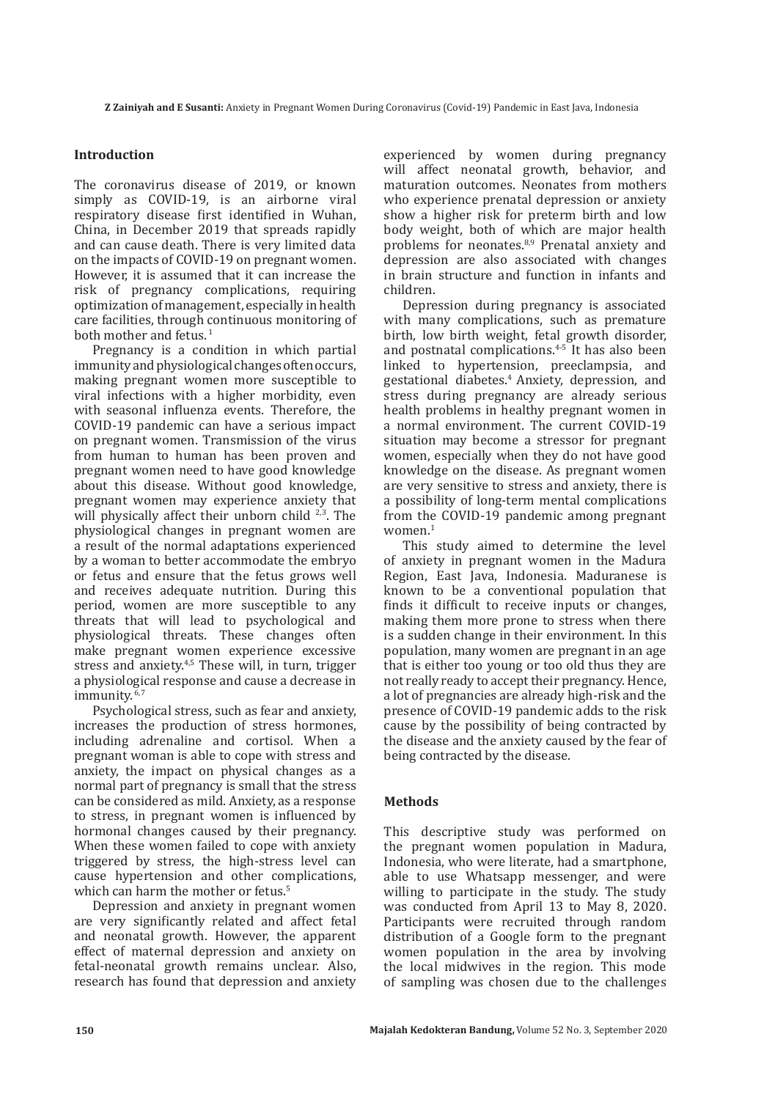# **Introduction**

The coronavirus disease of 2019, or known simply as COVID-19, is an airborne viral respiratory disease first identified in Wuhan, China, in December 2019 that spreads rapidly and can cause death. There is very limited data on the impacts of COVID-19 on pregnant women. However, it is assumed that it can increase the risk of pregnancy complications, requiring optimization of management, especially in health care facilities, through continuous monitoring of both mother and fetus.<sup>1</sup>

Pregnancy is a condition in which partial immunity and physiological changes often occurs, making pregnant women more susceptible to viral infections with a higher morbidity, even with seasonal influenza events. Therefore, the COVID-19 pandemic can have a serious impact on pregnant women. Transmission of the virus from human to human has been proven and pregnant women need to have good knowledge about this disease. Without good knowledge, pregnant women may experience anxiety that will physically affect their unborn child  $2,3$ . The physiological changes in pregnant women are a result of the normal adaptations experienced by a woman to better accommodate the embryo or fetus and ensure that the fetus grows well and receives adequate nutrition. During this period, women are more susceptible to any threats that will lead to psychological and physiological threats. These changes often make pregnant women experience excessive stress and anxiety.<sup>4,5</sup> These will, in turn, trigger a physiological response and cause a decrease in immunity.<sup>6,7</sup>

Psychological stress, such as fear and anxiety, increases the production of stress hormones, including adrenaline and cortisol. When a pregnant woman is able to cope with stress and anxiety, the impact on physical changes as a normal part of pregnancy is small that the stress can be considered as mild. Anxiety, as a response to stress, in pregnant women is influenced by hormonal changes caused by their pregnancy. When these women failed to cope with anxiety triggered by stress, the high-stress level can cause hypertension and other complications, which can harm the mother or fetus.<sup>5</sup>

Depression and anxiety in pregnant women are very significantly related and affect fetal and neonatal growth. However, the apparent effect of maternal depression and anxiety on fetal-neonatal growth remains unclear. Also, research has found that depression and anxiety

experienced by women during pregnancy will affect neonatal growth, behavior, and maturation outcomes. Neonates from mothers who experience prenatal depression or anxiety show a higher risk for preterm birth and low body weight, both of which are major health problems for neonates.8,9 Prenatal anxiety and depression are also associated with changes in brain structure and function in infants and children.

Depression during pregnancy is associated with many complications, such as premature birth, low birth weight, fetal growth disorder, and postnatal complications.<sup>4-5</sup> It has also been linked to hypertension, preeclampsia, and gestational diabetes.4 Anxiety, depression, and stress during pregnancy are already serious health problems in healthy pregnant women in a normal environment. The current COVID-19 situation may become a stressor for pregnant women, especially when they do not have good knowledge on the disease. As pregnant women are very sensitive to stress and anxiety, there is a possibility of long-term mental complications from the COVID-19 pandemic among pregnant  $W$ <sup>1</sup>

This study aimed to determine the level of anxiety in pregnant women in the Madura Region, East Java, Indonesia. Maduranese is known to be a conventional population that finds it difficult to receive inputs or changes, making them more prone to stress when there is a sudden change in their environment. In this population, many women are pregnant in an age that is either too young or too old thus they are not really ready to accept their pregnancy. Hence, a lot of pregnancies are already high-risk and the presence of COVID-19 pandemic adds to the risk cause by the possibility of being contracted by the disease and the anxiety caused by the fear of being contracted by the disease.

### **Methods**

This descriptive study was performed on the pregnant women population in Madura, Indonesia, who were literate, had a smartphone, able to use Whatsapp messenger, and were willing to participate in the study. The study was conducted from April 13 to May 8, 2020. Participants were recruited through random distribution of a Google form to the pregnant women population in the area by involving the local midwives in the region. This mode of sampling was chosen due to the challenges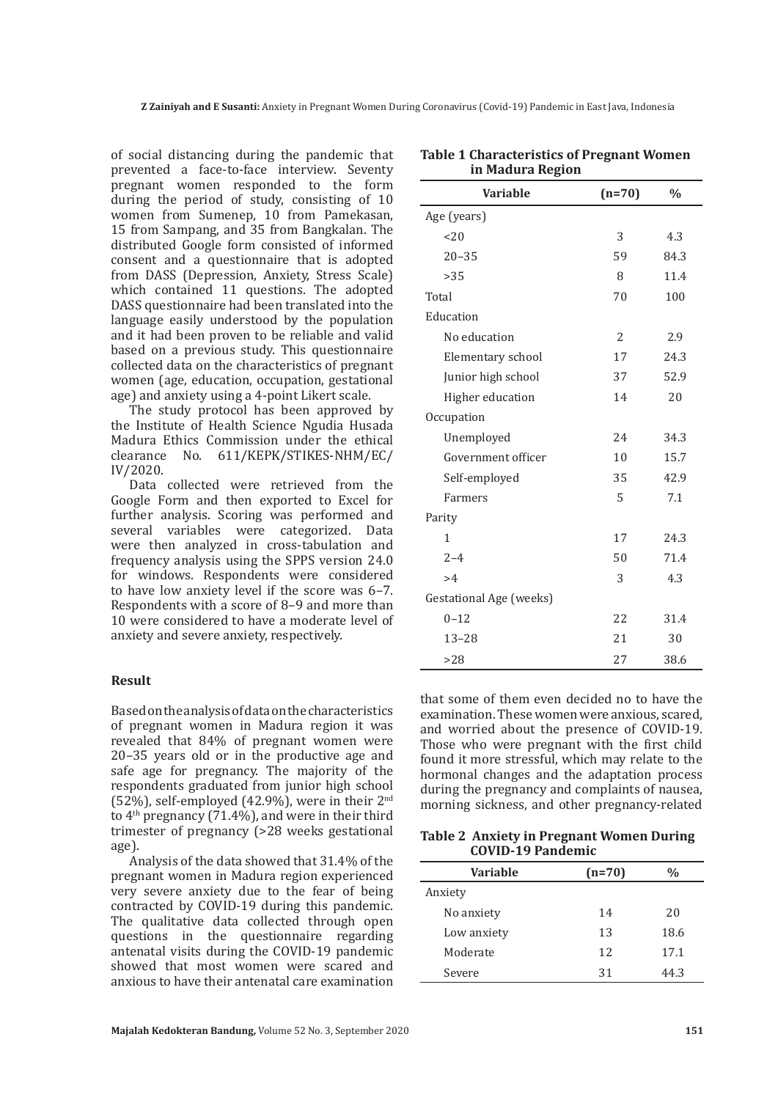of social distancing during the pandemic that prevented a face-to-face interview. Seventy pregnant women responded to the form during the period of study, consisting of 10 women from Sumenep, 10 from Pamekasan, 15 from Sampang, and 35 from Bangkalan. The distributed Google form consisted of informed consent and a questionnaire that is adopted from DASS (Depression, Anxiety, Stress Scale) which contained 11 questions. The adopted DASS questionnaire had been translated into the language easily understood by the population and it had been proven to be reliable and valid based on a previous study. This questionnaire collected data on the characteristics of pregnant women (age, education, occupation, gestational age) and anxiety using a 4-point Likert scale.

The study protocol has been approved by the Institute of Health Science Ngudia Husada Madura Ethics Commission under the ethical clearance No. 611/KEPK/STIKES-NHM/EC/ IV/2020.

Data collected were retrieved from the Google Form and then exported to Excel for further analysis. Scoring was performed and several variables were categorized. Data were then analyzed in cross-tabulation and frequency analysis using the SPPS version 24.0 for windows. Respondents were considered to have low anxiety level if the score was 6–7. Respondents with a score of 8–9 and more than 10 were considered to have a moderate level of anxiety and severe anxiety, respectively.

# **Result**

Based on the analysis of data on the characteristics of pregnant women in Madura region it was revealed that 84% of pregnant women were 20–35 years old or in the productive age and safe age for pregnancy. The majority of the respondents graduated from junior high school (52%), self-employed (42.9%), were in their  $2<sup>nd</sup>$ to  $4<sup>th</sup>$  pregnancy (71.4%), and were in their third trimester of pregnancy (>28 weeks gestational age).

Analysis of the data showed that 31.4% of the pregnant women in Madura region experienced very severe anxiety due to the fear of being contracted by COVID-19 during this pandemic. The qualitative data collected through open questions in the questionnaire regarding antenatal visits during the COVID-19 pandemic showed that most women were scared and anxious to have their antenatal care examination

| <b>Variable</b>                | $(n=70)$       | $\frac{0}{0}$ |
|--------------------------------|----------------|---------------|
| Age (years)                    |                |               |
| 20                             | 3              | 4.3           |
| $20 - 35$                      | 59             | 84.3          |
| >35                            | 8              | 11.4          |
| Total                          | 70             | 100           |
| Education                      |                |               |
| No education                   | $\overline{2}$ | 2.9           |
| Elementary school              | 17             | 24.3          |
| Junior high school             | 37             | 52.9          |
| Higher education               | 14             | 20            |
| Occupation                     |                |               |
| Unemployed                     | 24             | 34.3          |
| Government officer             | 10             | 15.7          |
| Self-employed                  | 35             | 42.9          |
| Farmers                        | 5              | 7.1           |
| Parity                         |                |               |
| 1                              | 17             | 24.3          |
| $2 - 4$                        | 50             | 71.4          |
| >4                             | 3              | 4.3           |
| <b>Gestational Age (weeks)</b> |                |               |
| $0 - 12$                       | 22             | 31.4          |
| $13 - 28$                      | 21             | 30            |
| >28                            | 27             | 38.6          |

**Table 1 Characteristics of Pregnant Women in Madura Region**

that some of them even decided no to have the examination. These women were anxious, scared, and worried about the presence of COVID-19. Those who were pregnant with the first child found it more stressful, which may relate to the hormonal changes and the adaptation process during the pregnancy and complaints of nausea, morning sickness, and other pregnancy-related

### **Table 2 Anxiety in Pregnant Women During COVID-19 Pandemic**

| <b>Variable</b> | $(n=70)$ | $\%$ |
|-----------------|----------|------|
| Anxiety         |          |      |
| No anxiety      | 14       | 20   |
| Low anxiety     | 13       | 18.6 |
| Moderate        | 12       | 17.1 |
| Severe          | 31       | 44.3 |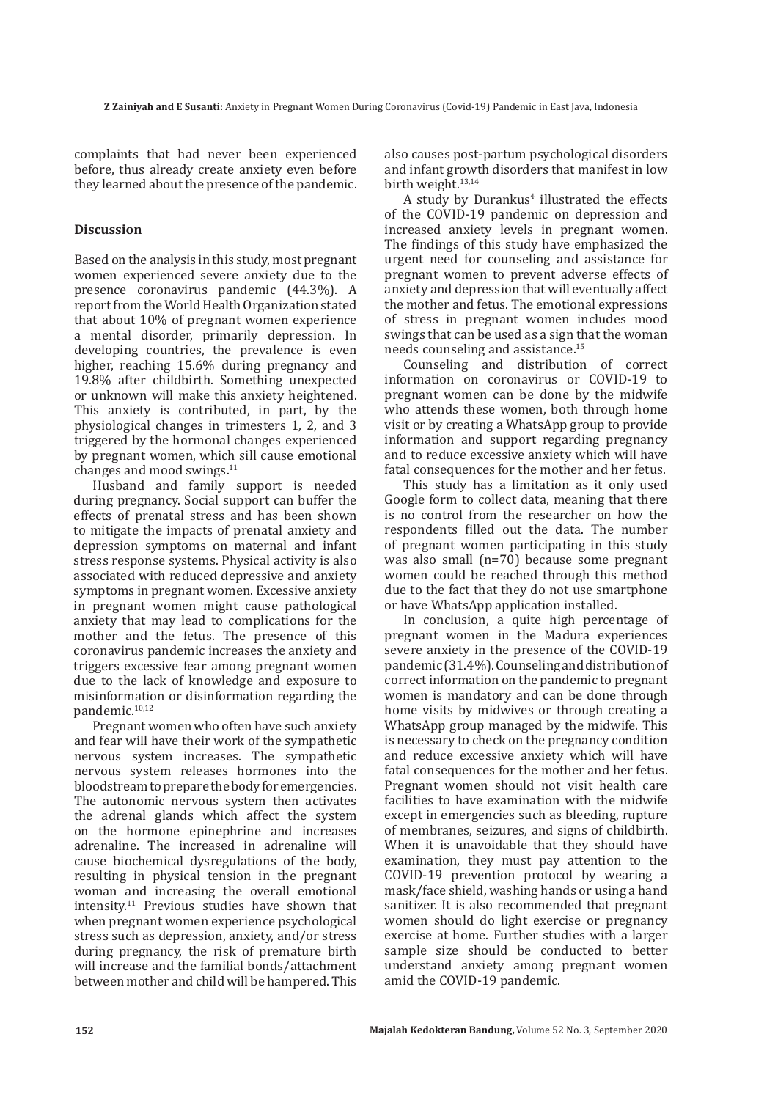complaints that had never been experienced before, thus already create anxiety even before they learned about the presence of the pandemic.

# **Discussion**

Based on the analysis in this study, most pregnant women experienced severe anxiety due to the presence coronavirus pandemic (44.3%). A report from the World Health Organization stated that about 10% of pregnant women experience a mental disorder, primarily depression. In developing countries, the prevalence is even higher, reaching 15.6% during pregnancy and 19.8% after childbirth. Something unexpected or unknown will make this anxiety heightened. This anxiety is contributed, in part, by the physiological changes in trimesters 1, 2, and 3 triggered by the hormonal changes experienced by pregnant women, which sill cause emotional changes and mood swings.11

Husband and family support is needed during pregnancy. Social support can buffer the effects of prenatal stress and has been shown to mitigate the impacts of prenatal anxiety and depression symptoms on maternal and infant stress response systems. Physical activity is also associated with reduced depressive and anxiety symptoms in pregnant women. Excessive anxiety in pregnant women might cause pathological anxiety that may lead to complications for the mother and the fetus. The presence of this coronavirus pandemic increases the anxiety and triggers excessive fear among pregnant women due to the lack of knowledge and exposure to misinformation or disinformation regarding the pandemic.10,12

Pregnant women who often have such anxiety and fear will have their work of the sympathetic nervous system increases. The sympathetic nervous system releases hormones into the bloodstream to prepare the body for emergencies. The autonomic nervous system then activates the adrenal glands which affect the system on the hormone epinephrine and increases adrenaline. The increased in adrenaline will cause biochemical dysregulations of the body, resulting in physical tension in the pregnant woman and increasing the overall emotional intensity.11 Previous studies have shown that when pregnant women experience psychological stress such as depression, anxiety, and/or stress during pregnancy, the risk of premature birth will increase and the familial bonds/attachment between mother and child will be hampered. This

also causes post-partum psychological disorders and infant growth disorders that manifest in low birth weight.<sup>13,14</sup>

A study by Durankus<sup>4</sup> illustrated the effects of the COVID-19 pandemic on depression and increased anxiety levels in pregnant women. The findings of this study have emphasized the urgent need for counseling and assistance for pregnant women to prevent adverse effects of anxiety and depression that will eventually affect the mother and fetus. The emotional expressions of stress in pregnant women includes mood swings that can be used as a sign that the woman needs counseling and assistance.15

Counseling and distribution of correct information on coronavirus or COVID-19 to pregnant women can be done by the midwife who attends these women, both through home visit or by creating a WhatsApp group to provide information and support regarding pregnancy and to reduce excessive anxiety which will have fatal consequences for the mother and her fetus.

This study has a limitation as it only used Google form to collect data, meaning that there is no control from the researcher on how the respondents filled out the data. The number of pregnant women participating in this study was also small (n=70) because some pregnant women could be reached through this method due to the fact that they do not use smartphone or have WhatsApp application installed.

In conclusion, a quite high percentage of pregnant women in the Madura experiences severe anxiety in the presence of the COVID-19 pandemic (31.4%). Counseling and distribution of correct information on the pandemic to pregnant women is mandatory and can be done through home visits by midwives or through creating a WhatsApp group managed by the midwife. This is necessary to check on the pregnancy condition and reduce excessive anxiety which will have fatal consequences for the mother and her fetus. Pregnant women should not visit health care facilities to have examination with the midwife except in emergencies such as bleeding, rupture of membranes, seizures, and signs of childbirth. When it is unavoidable that they should have examination, they must pay attention to the COVID-19 prevention protocol by wearing a mask/face shield, washing hands or using a hand sanitizer. It is also recommended that pregnant women should do light exercise or pregnancy exercise at home. Further studies with a larger sample size should be conducted to better understand anxiety among pregnant women amid the COVID-19 pandemic.